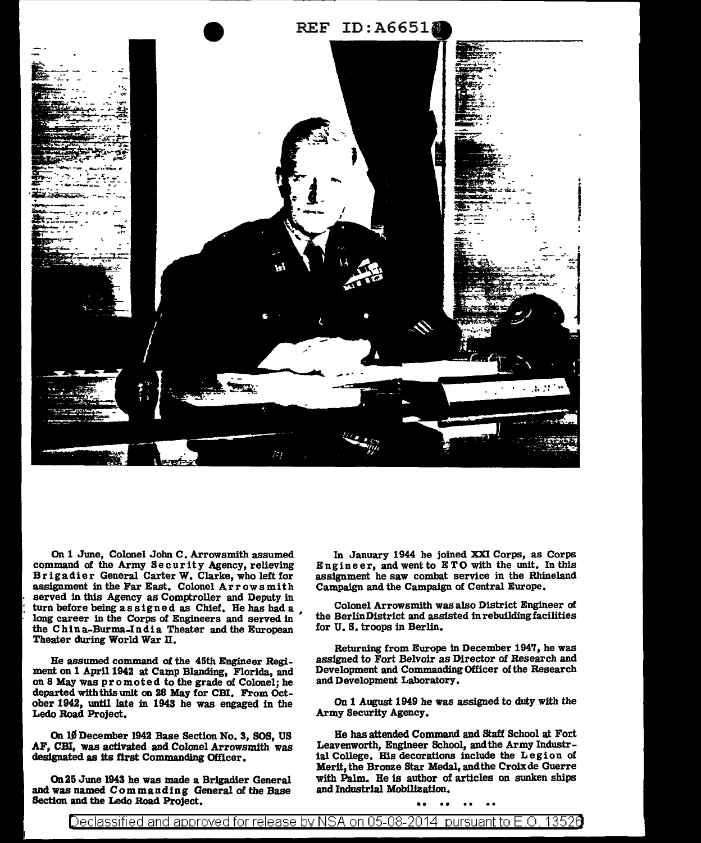

On 1 June, Colonel John C. Arrowsmith assumed command of the Army Security Agency, relieving Brigadier General Carter W. Clarke, who left for assignment in the Far East. Colonel Arrowsmith served in this Agency as Comptroller and Deputy in turn before being as signed as Chief. He has had a long career in the Corps of Engineers and served in the Chin a-Burma-India Theater and the European Theater during World War II.

Be assumed command of the 45th Engineer Regiment on 1 April 1942 at Camp Blanding, Florida, and on 8 May was promoted to the grade of Colonel; he departed with this unit on 28 May for CBI. From October 1942, until late in 1943 he was engaged in the Ledo Road Project.

On lJf December 1942 Base Section No. 3, SOS, US AF, CBI, was activated and Colonel Arrowsmith was designated as its first Commanding Officer.

On 25 June 1943 he was made a Brigadier General with Palm. He is author of was named Commanding General of the Base and Industrial Mobilization. and was named Commanding General of the Base Section and the Ledo Road Project.

In January 1944 he joined XXI Corps, as Corps Engineer, and went to ETO with the unit. In this assignment he saw combat service in the Rhineland Campaign and the Campaign of Central Europe,

Colonel Arrowsmith was also District Engineer of the Berlin District and assisted in rebuilding facilities for U. S, troops in Berlin,

Returning from Europe in December 1947, he was assigned to Fort Belvoir as Director of Research and Development and Commanding Officer of the Research and Development Laboratory.

On 1 August 1949 he was assigned to duty with the Army Security Agency.

He has attended Command and Staff School at Fort Leavenworth, Engineer School, and the Army Industrial College. His decorations include the Legion of Merit, the Bronze Star Medal, and the Croix de Guerre with Palm. He is author of articles on sunken ships

## Declassified and approved for release by NSA on 05-08-2014 pursuantto E.O. 1352a